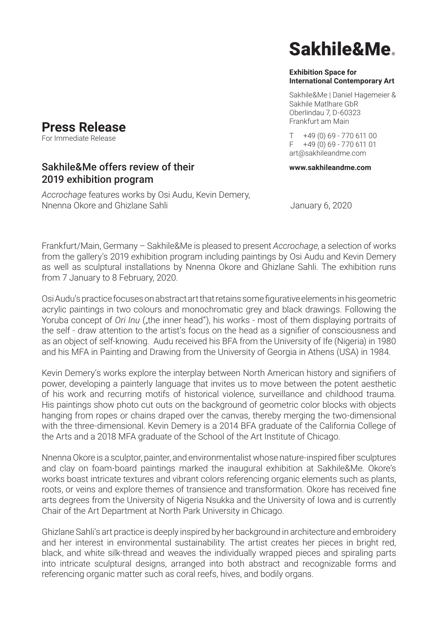

**Exhibition Space for International Contemporary Art** 

Sakhile&Me | Daniel Hagemeier & Sakhile Matlhare GbR Oberlindau 7, D-60323 Frankfurt am Main

 $T + 49(0)69 - 77061100$  $F + 49(0)69 - 77061101$ art@sakhileandme.com

#### **www.sakhileandme.com**

**Press Release** For Immediate Release

# Sakhile&Me offers review of their 2019 exhibition program

*Accrochage* features works by Osi Audu, Kevin Demery, Nnenna Okore and Ghizlane Sahli January 6, 2020

Frankfurt/Main, Germany – Sakhile&Me is pleased to present *Accrochage*, a selection of works from the gallery's 2019 exhibition program including paintings by Osi Audu and Kevin Demery as well as sculptural installations by Nnenna Okore and Ghizlane Sahli. The exhibition runs from 7 January to 8 February, 2020.

Osi Audu's practice focuses on abstract art that retains some figurative elements in his geometric acrylic paintings in two colours and monochromatic grey and black drawings. Following the Yoruba concept of *Ori Inu* ("the inner head"), his works - most of them displaying portraits of the self - draw attention to the artist's focus on the head as a signifier of consciousness and as an object of self-knowing. Audu received his BFA from the University of Ife (Nigeria) in 1980 and his MFA in Painting and Drawing from the University of Georgia in Athens (USA) in 1984.

Kevin Demery's works explore the interplay between North American history and signifiers of power, developing a painterly language that invites us to move between the potent aesthetic of his work and recurring motifs of historical violence, surveillance and childhood trauma. His paintings show photo cut outs on the background of geometric color blocks with objects hanging from ropes or chains draped over the canvas, thereby merging the two-dimensional with the three-dimensional. Kevin Demery is a 2014 BFA graduate of the California College of the Arts and a 2018 MFA graduate of the School of the Art Institute of Chicago.

Nnenna Okore is a sculptor, painter, and environmentalist whose nature-inspired fiber sculptures and clay on foam-board paintings marked the inaugural exhibition at Sakhile&Me. Okore's works boast intricate textures and vibrant colors referencing organic elements such as plants, roots, or veins and explore themes of transience and transformation. Okore has received fine arts degrees from the University of Nigeria Nsukka and the University of Iowa and is currently Chair of the Art Department at North Park University in Chicago.

Ghizlane Sahli's art practice is deeply inspired by her background in architecture and embroidery and her interest in environmental sustainability. The artist creates her pieces in bright red, black, and white silk-thread and weaves the individually wrapped pieces and spiraling parts into intricate sculptural designs, arranged into both abstract and recognizable forms and referencing organic matter such as coral reefs, hives, and bodily organs.